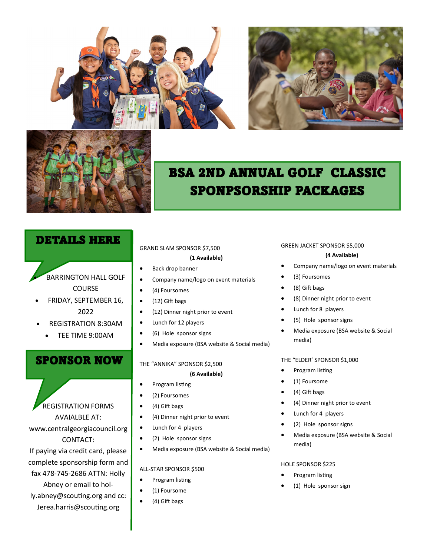





# BSA 2ND ANNUAL GOLF CLASSIC SPONPSORSHIP PACKAGES

# DETAILS HERE

• BARRINGTON HALL GOLF COURSE

- FRIDAY, SEPTEMBER 16, 2022
- REGISTRATION 8:30AM
	- TEE TIME 9:00AM

# SPONSOR NOW

REGISTRATION FORMS AVAIALBLE AT: www.centralgeorgiacouncil.org CONTACT: If paying via credit card, please complete sponsorship form and fax 478-745-2686 ATTN: Holly Abney or email to holly.abney@scouting.org and cc: Jerea.harris@scouting.org

# GRAND SLAM SPONSOR \$7,500

### **(1 Available)**

- Back drop banner
- Company name/logo on event materials
- (4) Foursomes
- (12) Gift bags
- (12) Dinner night prior to event
- Lunch for 12 players
- (6) Hole sponsor signs
- Media exposure (BSA website & Social media)

### THE "ANNIKA" SPONSOR \$2,500

### **(6 Available)**

- Program listing
- (2) Foursomes
- (4) Gift bags
- (4) Dinner night prior to event
- Lunch for 4 players
- (2) Hole sponsor signs
- Media exposure (BSA website & Social media)

# ALL-STAR SPONSOR \$500

- Program listing
- (1) Foursome
- (4) Gift bags

# GREEN JACKET SPONSOR \$5,000

### **(4 Available)**

- Company name/logo on event materials
- (3) Foursomes
- (8) Gift bags
- (8) Dinner night prior to event
- Lunch for 8 players
- (5) Hole sponsor signs
- Media exposure (BSA website & Social media)

### THE "ELDER' SPONSOR \$1,000

- Program listing
- (1) Foursome
- (4) Gift bags
- (4) Dinner night prior to event
- Lunch for 4 players
- (2) Hole sponsor signs
- Media exposure (BSA website & Social media)

### HOLE SPONSOR \$225

- Program listing
- (1) Hole sponsor sign